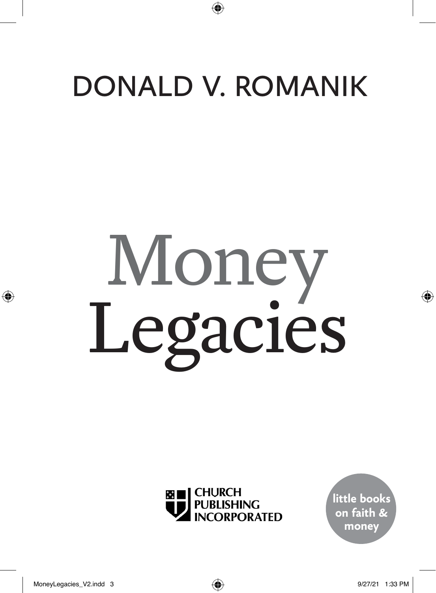# DONALD V. ROMANIK

# Money Legacies



**little books on faith & money**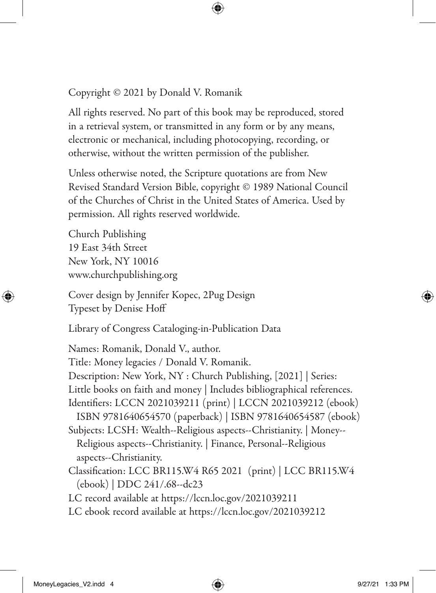Copyright © 2021 by Donald V. Romanik

All rights reserved. No part of this book may be reproduced, stored in a retrieval system, or transmitted in any form or by any means, electronic or mechanical, including photocopying, recording, or otherwise, without the written permission of the publisher.

Unless otherwise noted, the Scripture quotations are from New Revised Standard Version Bible, copyright © 1989 National Council of the Churches of Christ in the United States of America. Used by permission. All rights reserved worldwide.

Church Publishing 19 East 34th Street New York, NY 10016 www.churchpublishing.org

Cover design by Jennifer Kopec, 2Pug Design Typeset by Denise Hoff

Library of Congress Cataloging-in-Publication Data

Names: Romanik, Donald V., author. Title: Money legacies / Donald V. Romanik. Description: New York, NY : Church Publishing, [2021] | Series: Little books on faith and money | Includes bibliographical references. Identifiers: LCCN 2021039211 (print) | LCCN 2021039212 (ebook) ISBN 9781640654570 (paperback) | ISBN 9781640654587 (ebook) Subjects: LCSH: Wealth--Religious aspects--Christianity. | Money-- Religious aspects--Christianity. | Finance, Personal--Religious aspects--Christianity. Classification: LCC BR115.W4 R65 2021 (print) | LCC BR115.W4 (ebook) | DDC 241/.68--dc23 LC record available at https://lccn.loc.gov/2021039211

LC ebook record available at https://lccn.loc.gov/2021039212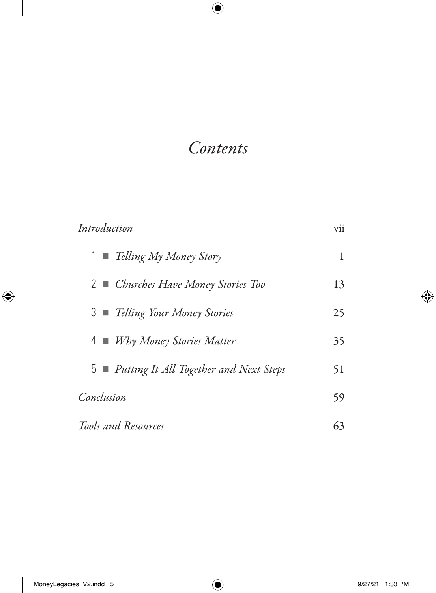## *Contents*

| Introduction                               | vii |
|--------------------------------------------|-----|
| $1 \equiv$ Telling My Money Story          | 1   |
| 2 Churches Have Money Stories Too          | 13  |
| 3 ■ Telling Your Money Stories             | 25  |
| 4 ■ <i>Why Money Stories Matter</i>        | 35  |
| 5 ■ Putting It All Together and Next Steps | 51  |
| Conclusion                                 | 59  |
| Tools and Resources                        | 63  |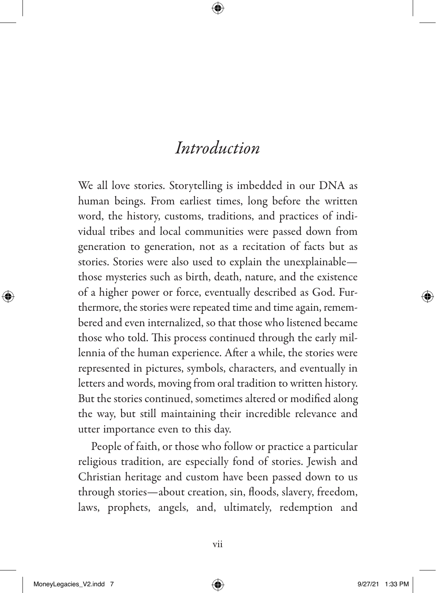We all love stories. Storytelling is imbedded in our DNA as human beings. From earliest times, long before the written word, the history, customs, traditions, and practices of individual tribes and local communities were passed down from generation to generation, not as a recitation of facts but as stories. Stories were also used to explain the unexplainable those mysteries such as birth, death, nature, and the existence of a higher power or force, eventually described as God. Furthermore, the stories were repeated time and time again, remembered and even internalized, so that those who listened became those who told. This process continued through the early millennia of the human experience. After a while, the stories were represented in pictures, symbols, characters, and eventually in letters and words, moving from oral tradition to written history. But the stories continued, sometimes altered or modified along the way, but still maintaining their incredible relevance and utter importance even to this day.

People of faith, or those who follow or practice a particular religious tradition, are especially fond of stories. Jewish and Christian heritage and custom have been passed down to us through stories—about creation, sin, floods, slavery, freedom, laws, prophets, angels, and, ultimately, redemption and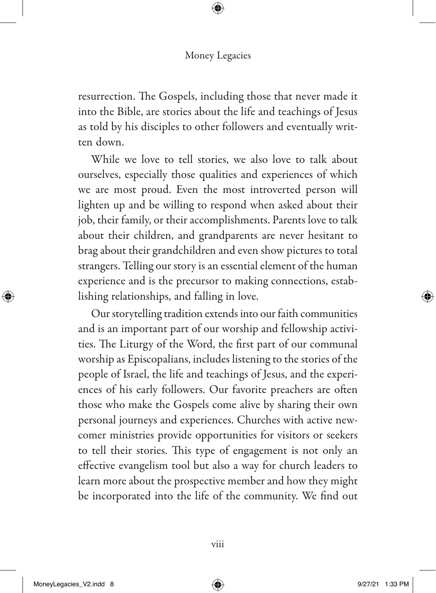resurrection. The Gospels, including those that never made it into the Bible, are stories about the life and teachings of Jesus as told by his disciples to other followers and eventually written down.

While we love to tell stories, we also love to talk about ourselves, especially those qualities and experiences of which we are most proud. Even the most introverted person will lighten up and be willing to respond when asked about their job, their family, or their accomplishments. Parents love to talk about their children, and grandparents are never hesitant to brag about their grandchildren and even show pictures to total strangers. Telling our story is an essential element of the human experience and is the precursor to making connections, establishing relationships, and falling in love.

Our storytelling tradition extends into our faith communities and is an important part of our worship and fellowship activities. The Liturgy of the Word, the first part of our communal worship as Episcopalians, includes listening to the stories of the people of Israel, the life and teachings of Jesus, and the experiences of his early followers. Our favorite preachers are often those who make the Gospels come alive by sharing their own personal journeys and experiences. Churches with active newcomer ministries provide opportunities for visitors or seekers to tell their stories. This type of engagement is not only an effective evangelism tool but also a way for church leaders to learn more about the prospective member and how they might be incorporated into the life of the community. We find out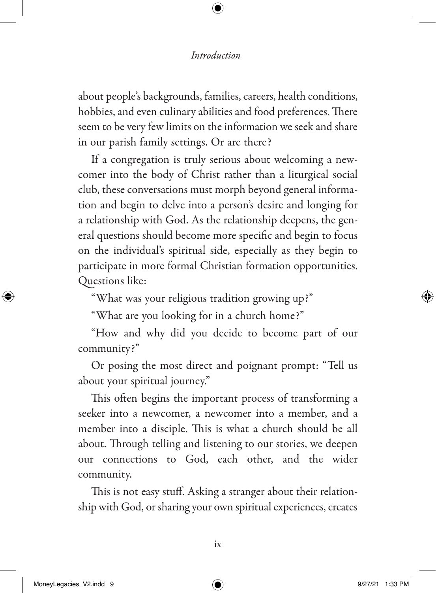about people's backgrounds, families, careers, health conditions, hobbies, and even culinary abilities and food preferences. There seem to be very few limits on the information we seek and share in our parish family settings. Or are there?

If a congregation is truly serious about welcoming a newcomer into the body of Christ rather than a liturgical social club, these conversations must morph beyond general information and begin to delve into a person's desire and longing for a relationship with God. As the relationship deepens, the general questions should become more specific and begin to focus on the individual's spiritual side, especially as they begin to participate in more formal Christian formation opportunities. Questions like:

"What was your religious tradition growing up?"

"What are you looking for in a church home?"

"How and why did you decide to become part of our community?"

Or posing the most direct and poignant prompt: "Tell us about your spiritual journey."

This often begins the important process of transforming a seeker into a newcomer, a newcomer into a member, and a member into a disciple. This is what a church should be all about. Through telling and listening to our stories, we deepen our connections to God, each other, and the wider community.

This is not easy stuff. Asking a stranger about their relationship with God, or sharing your own spiritual experiences, creates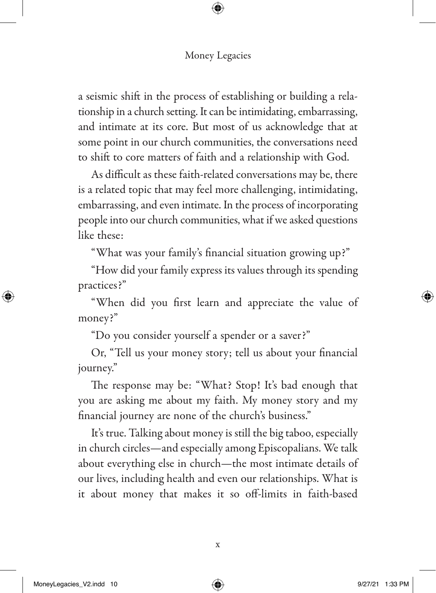a seismic shift in the process of establishing or building a relationship in a church setting. It can be intimidating, embarrassing, and intimate at its core. But most of us acknowledge that at some point in our church communities, the conversations need to shift to core matters of faith and a relationship with God.

As difficult as these faith-related conversations may be, there is a related topic that may feel more challenging, intimidating, embarrassing, and even intimate. In the process of incorporating people into our church communities, what if we asked questions like these:

"What was your family's financial situation growing up?"

"How did your family express its values through its spending practices?"

"When did you first learn and appreciate the value of money?"

"Do you consider yourself a spender or a saver?"

Or, "Tell us your money story; tell us about your financial journey."

The response may be: "What? Stop! It's bad enough that you are asking me about my faith. My money story and my financial journey are none of the church's business."

It's true. Talking about money is still the big taboo, especially in church circles—and especially among Episcopalians. We talk about everything else in church—the most intimate details of our lives, including health and even our relationships. What is it about money that makes it so off-limits in faith-based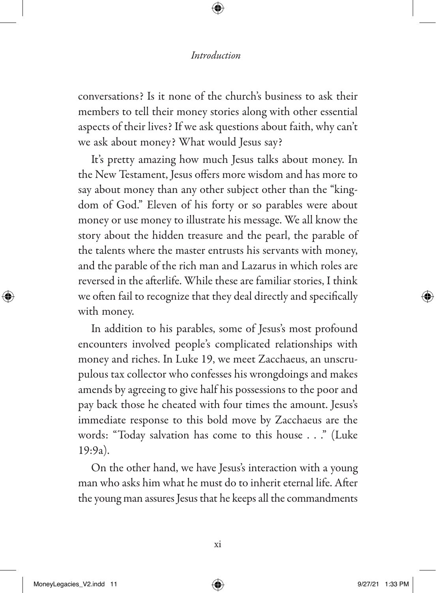conversations? Is it none of the church's business to ask their members to tell their money stories along with other essential aspects of their lives? If we ask questions about faith, why can't we ask about money? What would Jesus say?

It's pretty amazing how much Jesus talks about money. In the New Testament, Jesus offers more wisdom and has more to say about money than any other subject other than the "kingdom of God." Eleven of his forty or so parables were about money or use money to illustrate his message. We all know the story about the hidden treasure and the pearl, the parable of the talents where the master entrusts his servants with money, and the parable of the rich man and Lazarus in which roles are reversed in the afterlife. While these are familiar stories, I think we often fail to recognize that they deal directly and specifically with money.

In addition to his parables, some of Jesus's most profound encounters involved people's complicated relationships with money and riches. In Luke 19, we meet Zacchaeus, an unscrupulous tax collector who confesses his wrongdoings and makes amends by agreeing to give half his possessions to the poor and pay back those he cheated with four times the amount. Jesus's immediate response to this bold move by Zacchaeus are the words: "Today salvation has come to this house . . ." (Luke 19:9a).

On the other hand, we have Jesus's interaction with a young man who asks him what he must do to inherit eternal life. After the young man assures Jesus that he keeps all the commandments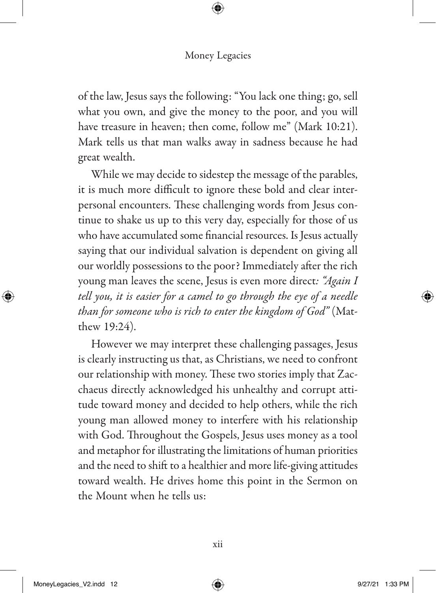of the law, Jesus says the following: "You lack one thing; go, sell what you own, and give the money to the poor, and you will have treasure in heaven; then come, follow me" (Mark 10:21). Mark tells us that man walks away in sadness because he had great wealth.

While we may decide to sidestep the message of the parables, it is much more difficult to ignore these bold and clear interpersonal encounters. These challenging words from Jesus continue to shake us up to this very day, especially for those of us who have accumulated some financial resources. Is Jesus actually saying that our individual salvation is dependent on giving all our worldly possessions to the poor? Immediately after the rich young man leaves the scene, Jesus is even more direct*: "Again I tell you, it is easier for a camel to go through the eye of a needle than for someone who is rich to enter the kingdom of God"* (Matthew 19:24).

However we may interpret these challenging passages, Jesus is clearly instructing us that, as Christians, we need to confront our relationship with money. These two stories imply that Zacchaeus directly acknowledged his unhealthy and corrupt attitude toward money and decided to help others, while the rich young man allowed money to interfere with his relationship with God. Throughout the Gospels, Jesus uses money as a tool and metaphor for illustrating the limitations of human priorities and the need to shift to a healthier and more life-giving attitudes toward wealth. He drives home this point in the Sermon on the Mount when he tells us: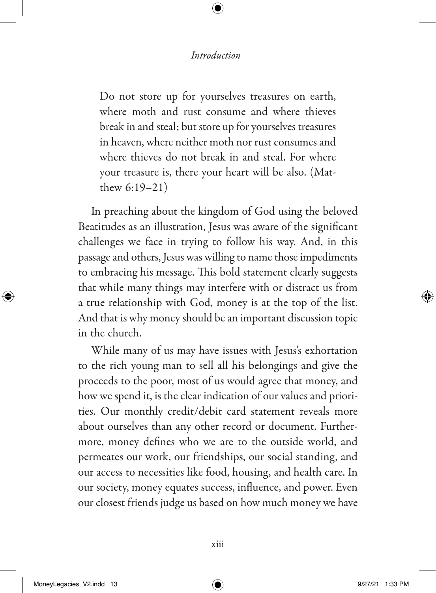Do not store up for yourselves treasures on earth, where moth and rust consume and where thieves break in and steal; but store up for yourselves treasures in heaven, where neither moth nor rust consumes and where thieves do not break in and steal. For where your treasure is, there your heart will be also. (Matthew 6:19–21)

In preaching about the kingdom of God using the beloved Beatitudes as an illustration, Jesus was aware of the significant challenges we face in trying to follow his way. And, in this passage and others, Jesus was willing to name those impediments to embracing his message. This bold statement clearly suggests that while many things may interfere with or distract us from a true relationship with God, money is at the top of the list. And that is why money should be an important discussion topic in the church.

While many of us may have issues with Jesus's exhortation to the rich young man to sell all his belongings and give the proceeds to the poor, most of us would agree that money, and how we spend it, is the clear indication of our values and priorities. Our monthly credit/debit card statement reveals more about ourselves than any other record or document. Furthermore, money defines who we are to the outside world, and permeates our work, our friendships, our social standing, and our access to necessities like food, housing, and health care. In our society, money equates success, influence, and power. Even our closest friends judge us based on how much money we have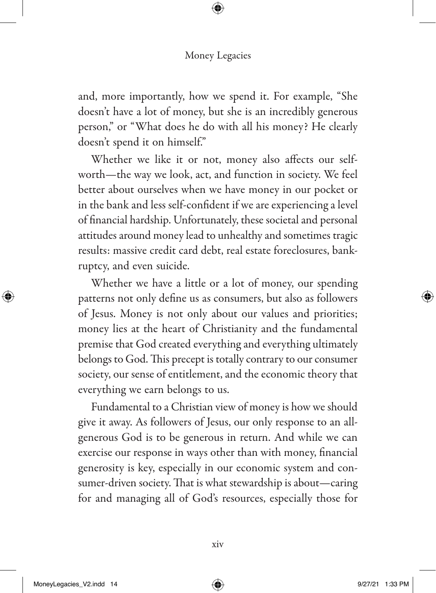and, more importantly, how we spend it. For example, "She doesn't have a lot of money, but she is an incredibly generous person," or "What does he do with all his money? He clearly doesn't spend it on himself."

Whether we like it or not, money also affects our selfworth—the way we look, act, and function in society. We feel better about ourselves when we have money in our pocket or in the bank and less self-confident if we are experiencing a level of financial hardship. Unfortunately, these societal and personal attitudes around money lead to unhealthy and sometimes tragic results: massive credit card debt, real estate foreclosures, bankruptcy, and even suicide.

Whether we have a little or a lot of money, our spending patterns not only define us as consumers, but also as followers of Jesus. Money is not only about our values and priorities; money lies at the heart of Christianity and the fundamental premise that God created everything and everything ultimately belongs to God. This precept is totally contrary to our consumer society, our sense of entitlement, and the economic theory that everything we earn belongs to us.

Fundamental to a Christian view of money is how we should give it away. As followers of Jesus, our only response to an allgenerous God is to be generous in return. And while we can exercise our response in ways other than with money, financial generosity is key, especially in our economic system and consumer-driven society. That is what stewardship is about—caring for and managing all of God's resources, especially those for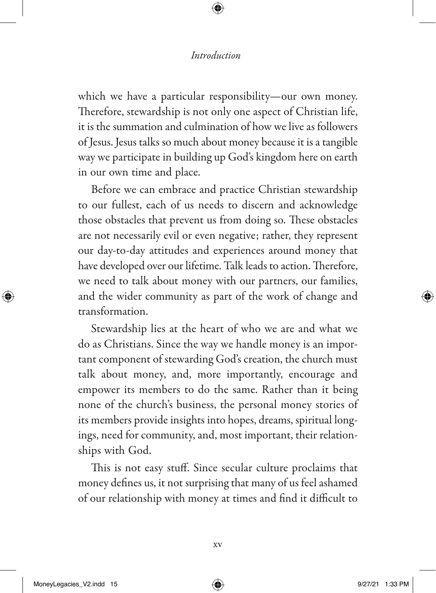which we have a particular responsibility—our own money. Therefore, stewardship is not only one aspect of Christian life, it is the summation and culmination of how we live as followers of Jesus. Jesus talks so much about money because it is a tangible way we participate in building up God's kingdom here on earth in our own time and place.

Before we can embrace and practice Christian stewardship to our fullest, each of us needs to discern and acknowledge those obstacles that prevent us from doing so. These obstacles are not necessarily evil or even negative; rather, they represent our day-to-day attitudes and experiences around money that have developed over our lifetime. Talk leads to action. Therefore, we need to talk about money with our partners, our families, and the wider community as part of the work of change and transformation.

Stewardship lies at the heart of who we are and what we do as Christians. Since the way we handle money is an important component of stewarding God's creation, the church must talk about money, and, more importantly, encourage and empower its members to do the same. Rather than it being none of the church's business, the personal money stories of its members provide insights into hopes, dreams, spiritual longings, need for community, and, most important, their relationships with God.

This is not easy stuff. Since secular culture proclaims that money defines us, it not surprising that many of us feel ashamed of our relationship with money at times and find it difficult to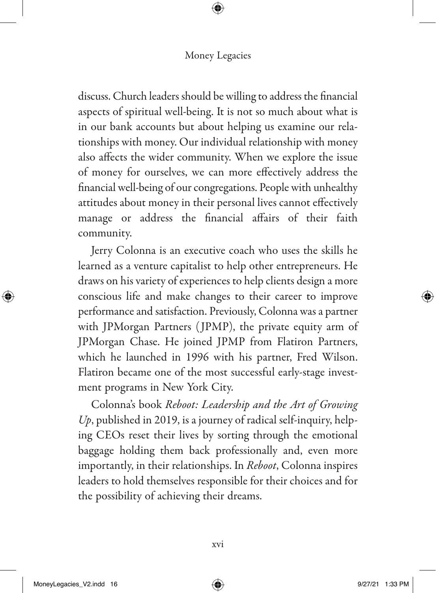discuss. Church leaders should be willing to address the financial aspects of spiritual well-being. It is not so much about what is in our bank accounts but about helping us examine our relationships with money. Our individual relationship with money also affects the wider community. When we explore the issue of money for ourselves, we can more effectively address the financial well-being of our congregations. People with unhealthy attitudes about money in their personal lives cannot effectively manage or address the financial affairs of their faith community.

Jerry Colonna is an executive coach who uses the skills he learned as a venture capitalist to help other entrepreneurs. He draws on his variety of experiences to help clients design a more conscious life and make changes to their career to improve performance and satisfaction. Previously, Colonna was a partner with JPMorgan Partners ( JPMP), the private equity arm of JPMorgan Chase. He joined JPMP from Flatiron Partners, which he launched in 1996 with his partner, Fred Wilson. Flatiron became one of the most successful early-stage investment programs in New York City.

Colonna's book *Reboot: Leadership and the Art of Growing Up*, published in 2019, is a journey of radical self-inquiry, helping CEOs reset their lives by sorting through the emotional baggage holding them back professionally and, even more importantly, in their relationships. In *Reboot*, Colonna inspires leaders to hold themselves responsible for their choices and for the possibility of achieving their dreams.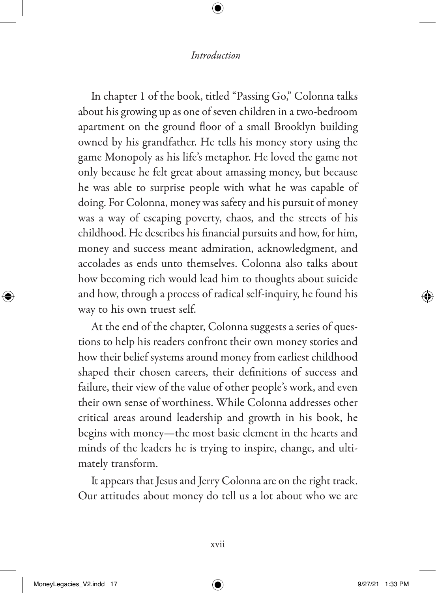In chapter 1 of the book, titled "Passing Go," Colonna talks about his growing up as one of seven children in a two-bedroom apartment on the ground floor of a small Brooklyn building owned by his grandfather. He tells his money story using the game Monopoly as his life's metaphor. He loved the game not only because he felt great about amassing money, but because he was able to surprise people with what he was capable of doing. For Colonna, money was safety and his pursuit of money was a way of escaping poverty, chaos, and the streets of his childhood. He describes his financial pursuits and how, for him, money and success meant admiration, acknowledgment, and accolades as ends unto themselves. Colonna also talks about how becoming rich would lead him to thoughts about suicide and how, through a process of radical self-inquiry, he found his way to his own truest self.

At the end of the chapter, Colonna suggests a series of questions to help his readers confront their own money stories and how their belief systems around money from earliest childhood shaped their chosen careers, their definitions of success and failure, their view of the value of other people's work, and even their own sense of worthiness. While Colonna addresses other critical areas around leadership and growth in his book, he begins with money—the most basic element in the hearts and minds of the leaders he is trying to inspire, change, and ultimately transform.

It appears that Jesus and Jerry Colonna are on the right track. Our attitudes about money do tell us a lot about who we are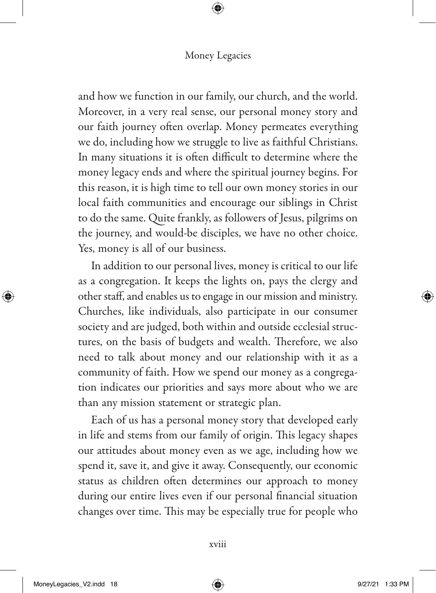and how we function in our family, our church, and the world. Moreover, in a very real sense, our personal money story and our faith journey often overlap. Money permeates everything we do, including how we struggle to live as faithful Christians. In many situations it is often difficult to determine where the money legacy ends and where the spiritual journey begins. For this reason, it is high time to tell our own money stories in our local faith communities and encourage our siblings in Christ to do the same. Quite frankly, as followers of Jesus, pilgrims on the journey, and would-be disciples, we have no other choice. Yes, money is all of our business.

In addition to our personal lives, money is critical to our life as a congregation. It keeps the lights on, pays the clergy and other staff, and enables us to engage in our mission and ministry. Churches, like individuals, also participate in our consumer society and are judged, both within and outside ecclesial structures, on the basis of budgets and wealth. Therefore, we also need to talk about money and our relationship with it as a community of faith. How we spend our money as a congregation indicates our priorities and says more about who we are than any mission statement or strategic plan.

Each of us has a personal money story that developed early in life and stems from our family of origin. This legacy shapes our attitudes about money even as we age, including how we spend it, save it, and give it away. Consequently, our economic status as children often determines our approach to money during our entire lives even if our personal financial situation changes over time. This may be especially true for people who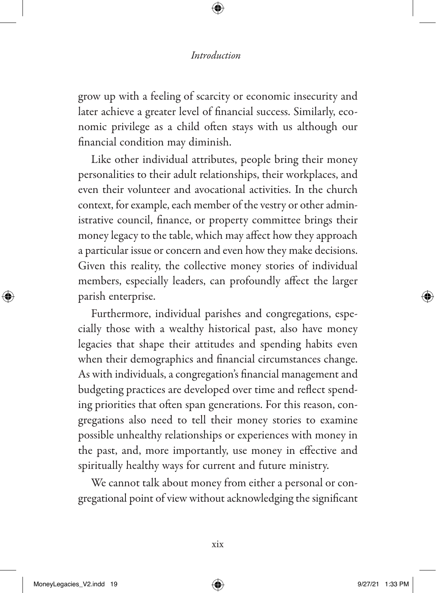grow up with a feeling of scarcity or economic insecurity and later achieve a greater level of financial success. Similarly, economic privilege as a child often stays with us although our financial condition may diminish.

Like other individual attributes, people bring their money personalities to their adult relationships, their workplaces, and even their volunteer and avocational activities. In the church context, for example, each member of the vestry or other administrative council, finance, or property committee brings their money legacy to the table, which may affect how they approach a particular issue or concern and even how they make decisions. Given this reality, the collective money stories of individual members, especially leaders, can profoundly affect the larger parish enterprise.

Furthermore, individual parishes and congregations, especially those with a wealthy historical past, also have money legacies that shape their attitudes and spending habits even when their demographics and financial circumstances change. As with individuals, a congregation's financial management and budgeting practices are developed over time and reflect spending priorities that often span generations. For this reason, congregations also need to tell their money stories to examine possible unhealthy relationships or experiences with money in the past, and, more importantly, use money in effective and spiritually healthy ways for current and future ministry.

We cannot talk about money from either a personal or congregational point of view without acknowledging the significant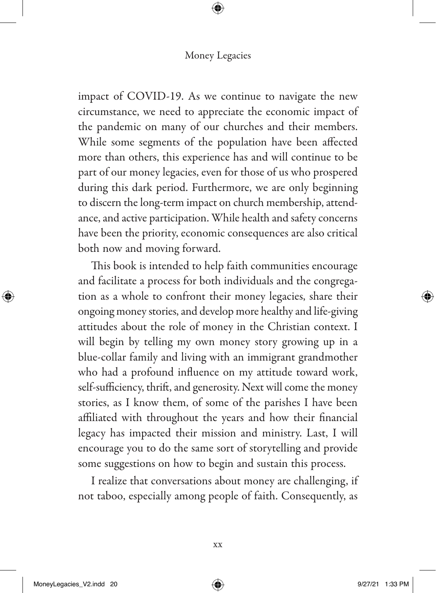impact of COVID-19. As we continue to navigate the new circumstance, we need to appreciate the economic impact of the pandemic on many of our churches and their members. While some segments of the population have been affected more than others, this experience has and will continue to be part of our money legacies, even for those of us who prospered during this dark period. Furthermore, we are only beginning to discern the long-term impact on church membership, attendance, and active participation. While health and safety concerns have been the priority, economic consequences are also critical both now and moving forward.

This book is intended to help faith communities encourage and facilitate a process for both individuals and the congregation as a whole to confront their money legacies, share their ongoing money stories, and develop more healthy and life-giving attitudes about the role of money in the Christian context. I will begin by telling my own money story growing up in a blue-collar family and living with an immigrant grandmother who had a profound influence on my attitude toward work, self-sufficiency, thrift, and generosity. Next will come the money stories, as I know them, of some of the parishes I have been affiliated with throughout the years and how their financial legacy has impacted their mission and ministry. Last, I will encourage you to do the same sort of storytelling and provide some suggestions on how to begin and sustain this process.

I realize that conversations about money are challenging, if not taboo, especially among people of faith. Consequently, as